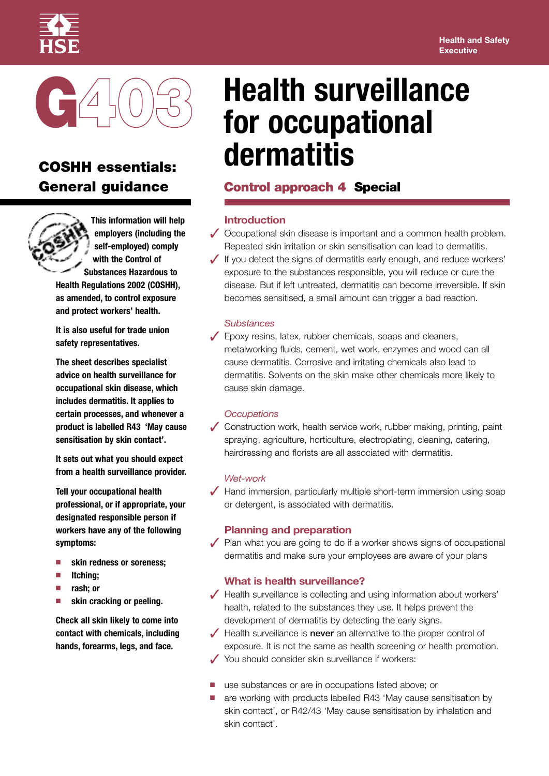



# **COSHH essentials: General guidance**



**This information will help employers (including the self-employed) comply with the Control of Substances Hazardous to**

**Health Regulations 2002 (COSHH), as amended, to control exposure and protect workers' health.**

**It is also useful for trade union safety representatives.**

**The sheet describes specialist advice on health surveillance for occupational skin disease, which includes dermatitis. It applies to certain processes, and whenever a product is labelled R43 'May cause sensitisation by skin contact'.**

**It sets out what you should expect from a health surveillance provider.**

**Tell your occupational health professional, or if appropriate, your designated responsible person if workers have any of the following symptoms:**

- **■ skin redness or soreness;**
- **■ Itching;**
- **■ rash; or**
- **■ skin cracking or peeling.**

**Check all skin likely to come into contact with chemicals, including hands, forearms, legs, and face.**

# **Health surveillance for occupational dermatitis**

# **Control approach 4 Special**

# **Introduction**

- **✓** Occupational skin disease is important and <sup>a</sup> common health problem. Repeated skin irritation or skin sensitisation can lead to dermatitis.
- **✓** If you detect the signs of dermatitis early enough, and reduce workers' exposure to the substances responsible, you will reduce or cure the disease. But if left untreated, dermatitis can become irreversible. If skin becomes sensitised, a small amount can trigger a bad reaction.

# *Substances*

**✓** Epoxy resins, latex, rubber chemicals, soaps and cleaners, metalworking fluids, cement, wet work, enzymes and wood can all cause dermatitis. Corrosive and irritating chemicals also lead to dermatitis. Solvents on the skin make other chemicals more likely to cause skin damage.

## *Occupations*

**✓** Construction work, health service work, rubber making, printing, paint spraying, agriculture, horticulture, electroplating, cleaning, catering, hairdressing and florists are all associated with dermatitis.

#### *Wet-work*

**✓** Hand immersion, particularly multiple short-term immersion using soap or detergent, is associated with dermatitis.

## **Planning and preparation**

**✓** Plan what you are going to do if <sup>a</sup> worker shows signs of occupational dermatitis and make sure your employees are aware of your plans

## **What is health surveillance?**

- **✓** Health surveillance is collecting and using information about workers' health, related to the substances they use. It helps prevent the development of dermatitis by detecting the early signs.
- **✓** Health surveillance is **never** an alternative to the proper control of exposure. It is not the same as health screening or health promotion.
- You should consider skin surveillance if workers:
- use substances or are in occupations listed above; or
- are working with products labelled R43 'May cause sensitisation by skin contact', or R42/43 'May cause sensitisation by inhalation and skin contact'.